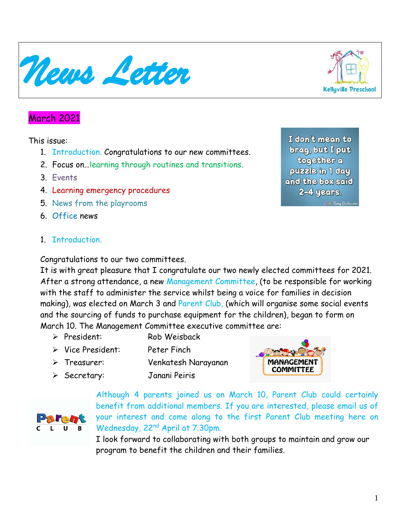March 2021

This issue:

- 1. Introduction. Congratulations to our new committees.
- 2. Focus on…learning through routines and transitions.
- 3. Events
- 4. Learning emergency procedures
- 5. News from the playrooms
- 6. Office news
- 1. Introduction.

Congratulations to our two committees.

It is with great pleasure that I congratulate our two newly elected committees for 2021. After a strong attendance, a new Management Committee, (to be responsible for working with the staff to administer the service whilst being a voice for families in decision making), was elected on March 3 and Parent Club, (which will organise some social events and the sourcing of funds to purchase equipment for the children), began to form on March 10. The Management Committee executive committee are:

- ➢ President: Rob Weisback
- ➢ Vice President: Peter Finch
- ➢ Treasurer: Venkatesh Narayanan
- ➢ Secretary: Janani Peiris

Although 4 parents joined us on March 10, Parent Club could certainly benefit from additional members. If you are interested, please email us of your interest and come along to the first Parent Club meeting here on Wednesday, 22nd April at 7.30pm.

I look forward to collaborating with both groups to maintain and grow our program to benefit the children and their families.

I don't mean to brag, but I put **Cogether** a puzzle in 1 day and the box said 2-4 years.







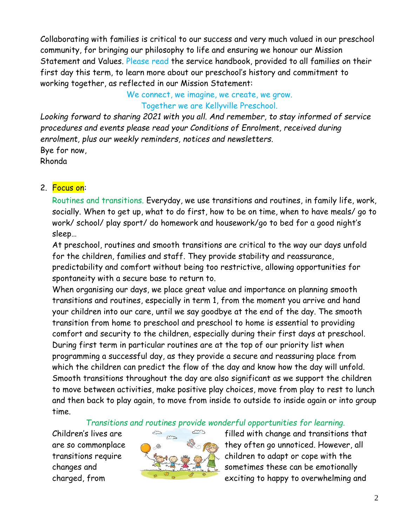Collaborating with families is critical to our success and very much valued in our preschool community, for bringing our philosophy to life and ensuring we honour our Mission Statement and Values. Please read the service handbook, provided to all families on their first day this term, to learn more about our preschool's history and commitment to working together, as reflected in our Mission Statement:

> We connect, we imagine, we create, we grow. Together we are Kellyville Preschool.

*Looking forward to sharing 2021 with you all. And remember, to stay informed of service procedures and events please read your Conditions of Enrolment, received during enrolment, plus our weekly reminders, notices and newsletters.* Bye for now, Rhonda

#### 2. Focus on:

Routines and transitions. Everyday, we use transitions and routines, in family life, work, socially. When to get up, what to do first, how to be on time, when to have meals/ go to work/ school/ play sport/ do homework and housework/go to bed for a good night's sleep…

At preschool, routines and smooth transitions are critical to the way our days unfold for the children, families and staff. They provide stability and reassurance, predictability and comfort without being too restrictive, allowing opportunities for spontaneity with a secure base to return to.

When organising our days, we place great value and importance on planning smooth transitions and routines, especially in term 1, from the moment you arrive and hand your children into our care, until we say goodbye at the end of the day. The smooth transition from home to preschool and preschool to home is essential to providing comfort and security to the children, especially during their first days at preschool. During first term in particular routines are at the top of our priority list when programming a successful day, as they provide a secure and reassuring place from which the children can predict the flow of the day and know how the day will unfold. Smooth transitions throughout the day are also significant as we support the children to move between activities, make positive play choices, move from play to rest to lunch and then back to play again, to move from inside to outside to inside again or into group time.

*Transitions and routines provide wonderful opportunities for learning.*



Children's lives are  $\epsilon \rightarrow \epsilon$  filled with change and transitions that are so commonplace and they often go unnoticed. However, all transitions require  $\mathbb{R}$   $\rightarrow$   $\mathbb{R}$   $\rightarrow$  children to adapt or cope with the changes and sometimes these can be emotionally charged, from **EXECUS ACCESS EXECUTED AS A REPORT OF A REA** exciting to happy to overwhelming and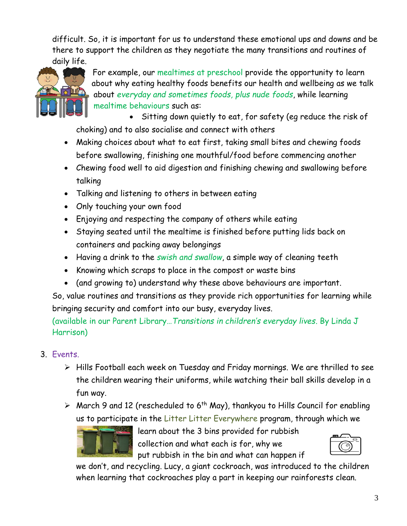difficult. So, it is important for us to understand these emotional ups and downs and be there to support the children as they negotiate the many transitions and routines of daily life.



For example, our mealtimes at preschool provide the opportunity to learn about why eating healthy foods benefits our health and wellbeing as we talk about *everyday and sometimes foods, plus nude foods*, while learning mealtime behaviours such as:

• Sitting down quietly to eat, for safety (eg reduce the risk of choking) and to also socialise and connect with others

- Making choices about what to eat first, taking small bites and chewing foods before swallowing, finishing one mouthful/food before commencing another
- Chewing food well to aid digestion and finishing chewing and swallowing before talking
- Talking and listening to others in between eating
- Only touching your own food
- Enjoying and respecting the company of others while eating
- Staying seated until the mealtime is finished before putting lids back on containers and packing away belongings
- Having a drink to the *swish and swallow*, a simple way of cleaning teeth
- Knowing which scraps to place in the compost or waste bins
- (and growing to) understand why these above behaviours are important.

So, value routines and transitions as they provide rich opportunities for learning while bringing security and comfort into our busy, everyday lives.

(available in our Parent Library…*Transitions in children's everyday lives*. By Linda J Harrison)

- 3. Events.
	- ➢ Hills Football each week on Tuesday and Friday mornings. We are thrilled to see the children wearing their uniforms, while watching their ball skills develop in a fun way.
	- $\triangleright$  March 9 and 12 (rescheduled to 6<sup>th</sup> May), thankyou to Hills Council for enabling us to participate in the Litter Litter Everywhere program, through which we



learn about the 3 bins provided for rubbish collection and what each is for, why we put rubbish in the bin and what can happen if



we don't, and recycling. Lucy, a giant cockroach, was introduced to the children when learning that cockroaches play a part in keeping our rainforests clean.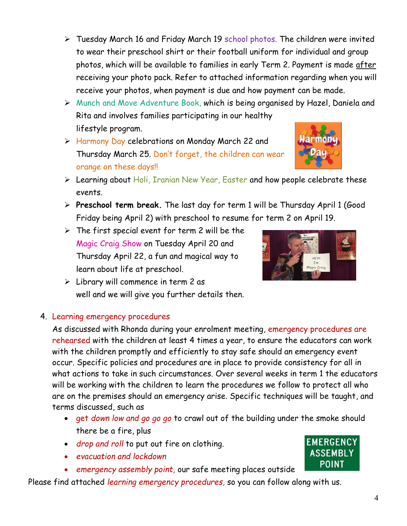- ➢ Tuesday March 16 and Friday March 19 school photos. The children were invited to wear their preschool shirt or their football uniform for individual and group photos, which will be available to families in early Term 2. Payment is made after receiving your photo pack. Refer to attached information regarding when you will receive your photos, when payment is due and how payment can be made.
- ➢ Munch and Move Adventure Book, which is being organised by Hazel, Daniela and Rita and involves families participating in our healthy lifestyle program.
- ➢ Harmony Day celebrations on Monday March 22 and Thursday March 25. Don't forget, the children can wear orange on these days!!
- ➢ Learning about Holi, Iranian New Year, Easter and how people celebrate these events.
- ➢ **Preschool term break.** The last day for term 1 will be Thursday April 1 (Good Friday being April 2) with preschool to resume for term 2 on April 19.
- $\triangleright$  The first special event for term 2 will be the Magic Craig Show on Tuesday April 20 and Thursday April 22, a fun and magical way to learn about life at preschool.
- $\triangleright$  Library will commence in term 2 as well and we will give you further details then.

### 4. Learning emergency procedures

As discussed with Rhonda during your enrolment meeting, emergency procedures are rehearsed with the children at least 4 times a year, to ensure the educators can work with the children promptly and efficiently to stay safe should an emergency event occur. Specific policies and procedures are in place to provide consistency for all in what actions to take in such circumstances. Over several weeks in term 1 the educators will be working with the children to learn the procedures we follow to protect all who are on the premises should an emergency arise. Specific techniques will be taught, and terms discussed, such as

- get *down low and go go go* to crawl out of the building under the smoke should there be a fire, plus
- *drop and roll* to put out fire on clothing.
- *evacuation and lockdown*
- *emergency assembly point,* our safe meeting places outside

Please find attached *learning emergency procedures,* so you can follow along with us.



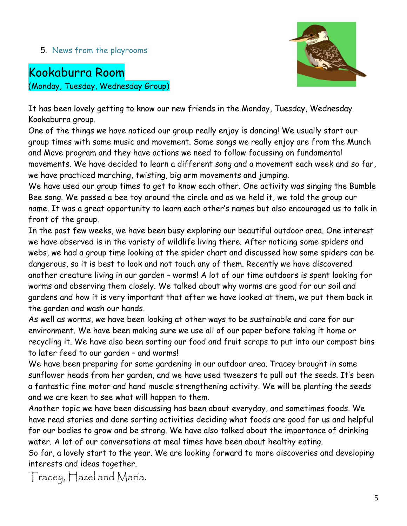#### 5. News from the playrooms

# Kookaburra Room

(Monday, Tuesday, Wednesday Group)



It has been lovely getting to know our new friends in the Monday, Tuesday, Wednesday Kookaburra group.

One of the things we have noticed our group really enjoy is dancing! We usually start our group times with some music and movement. Some songs we really enjoy are from the Munch and Move program and they have actions we need to follow focussing on fundamental movements. We have decided to learn a different song and a movement each week and so far, we have practiced marching, twisting, big arm movements and jumping.

We have used our group times to get to know each other. One activity was singing the Bumble Bee song. We passed a bee toy around the circle and as we held it, we told the group our name. It was a great opportunity to learn each other's names but also encouraged us to talk in front of the group.

In the past few weeks, we have been busy exploring our beautiful outdoor area. One interest we have observed is in the variety of wildlife living there. After noticing some spiders and webs, we had a group time looking at the spider chart and discussed how some spiders can be dangerous, so it is best to look and not touch any of them. Recently we have discovered another creature living in our garden – worms! A lot of our time outdoors is spent looking for worms and observing them closely. We talked about why worms are good for our soil and gardens and how it is very important that after we have looked at them, we put them back in the garden and wash our hands.

As well as worms, we have been looking at other ways to be sustainable and care for our environment. We have been making sure we use all of our paper before taking it home or recycling it. We have also been sorting our food and fruit scraps to put into our compost bins to later feed to our garden – and worms!

We have been preparing for some gardening in our outdoor area. Tracey brought in some sunflower heads from her garden, and we have used tweezers to pull out the seeds. It's been a fantastic fine motor and hand muscle strengthening activity. We will be planting the seeds and we are keen to see what will happen to them.

Another topic we have been discussing has been about everyday, and sometimes foods. We have read stories and done sorting activities deciding what foods are good for us and helpful for our bodies to grow and be strong. We have also talked about the importance of drinking water. A lot of our conversations at meal times have been about healthy eating.

So far, a lovely start to the year. We are looking forward to more discoveries and developing interests and ideas together.

Tracey, Hazel and Maria.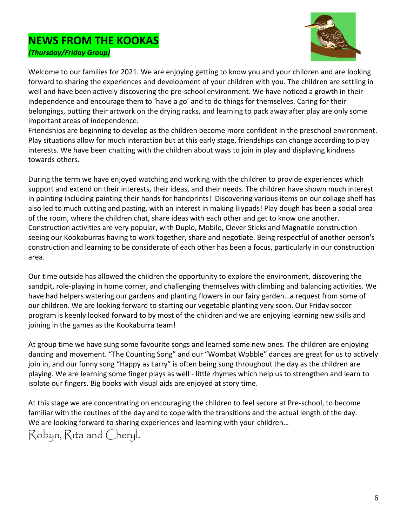### **NEWS FROM THE KOOKAS** *(Thursday/Friday Group)*



Welcome to our families for 2021. We are enjoying getting to know you and your children and are looking forward to sharing the experiences and development of your children with you. The children are settling in well and have been actively discovering the pre-school environment. We have noticed a growth in their independence and encourage them to 'have a go' and to do things for themselves. Caring for their belongings, putting their artwork on the drying racks, and learning to pack away after play are only some important areas of independence.

Friendships are beginning to develop as the children become more confident in the preschool environment. Play situations allow for much interaction but at this early stage, friendships can change according to play interests. We have been chatting with the children about ways to join in play and displaying kindness towards others.

During the term we have enjoyed watching and working with the children to provide experiences which support and extend on their interests, their ideas, and their needs. The children have shown much interest in painting including painting their hands for handprints! Discovering various items on our collage shelf has also led to much cutting and pasting, with an interest in making lilypads! Play dough has been a social area of the room, where the children chat, share ideas with each other and get to know one another. Construction activities are very popular, with Duplo, Mobilo, Clever Sticks and Magnatile construction seeing our Kookaburras having to work together, share and negotiate. Being respectful of another person's construction and learning to be considerate of each other has been a focus, particularly in our construction area.

Our time outside has allowed the children the opportunity to explore the environment, discovering the sandpit, role-playing in home corner, and challenging themselves with climbing and balancing activities. We have had helpers watering our gardens and planting flowers in our fairy garden…a request from some of our children. We are looking forward to starting our vegetable planting very soon. Our Friday soccer program is keenly looked forward to by most of the children and we are enjoying learning new skills and joining in the games as the Kookaburra team!

At group time we have sung some favourite songs and learned some new ones. The children are enjoying dancing and movement. "The Counting Song" and our "Wombat Wobble" dances are great for us to actively join in, and our funny song "Happy as Larry" is often being sung throughout the day as the children are playing. We are learning some finger plays as well - little rhymes which help us to strengthen and learn to isolate our fingers. Big books with visual aids are enjoyed at story time.

At this stage we are concentrating on encouraging the children to feel secure at Pre-school, to become familiar with the routines of the day and to cope with the transitions and the actual length of the day. We are looking forward to sharing experiences and learning with your children…

Robyn, Rita and Cheryl.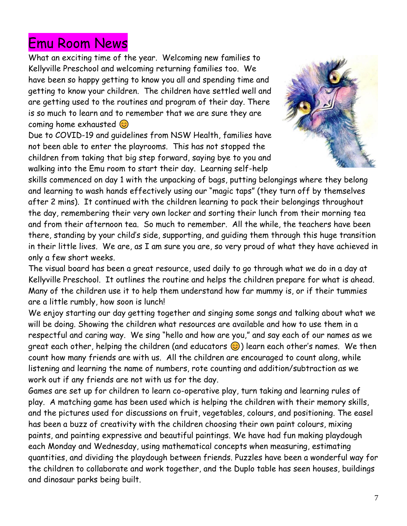# Emu Room News

What an exciting time of the year. Welcoming new families to Kellyville Preschool and welcoming returning families too. We have been so happy getting to know you all and spending time and getting to know your children. The children have settled well and are getting used to the routines and program of their day. There is so much to learn and to remember that we are sure they are coming home exhausted  $\odot$ 

Due to COVID-19 and guidelines from NSW Health, families have not been able to enter the playrooms. This has not stopped the children from taking that big step forward, saying bye to you and walking into the Emu room to start their day. Learning self-help



skills commenced on day 1 with the unpacking of bags, putting belongings where they belong and learning to wash hands effectively using our "magic taps" (they turn off by themselves after 2 mins). It continued with the children learning to pack their belongings throughout the day, remembering their very own locker and sorting their lunch from their morning tea and from their afternoon tea. So much to remember. All the while, the teachers have been there, standing by your child's side, supporting, and guiding them through this huge transition in their little lives. We are, as I am sure you are, so very proud of what they have achieved in only a few short weeks.

The visual board has been a great resource, used daily to go through what we do in a day at Kellyville Preschool. It outlines the routine and helps the children prepare for what is ahead. Many of the children use it to help them understand how far mummy is, or if their tummies are a little rumbly, how soon is lunch!

We enjoy starting our day getting together and singing some songs and talking about what we will be doing. Showing the children what resources are available and how to use them in a respectful and caring way. We sing "hello and how are you," and say each of our names as we great each other, helping the children (and educators  $\odot$ ) learn each other's names. We then count how many friends are with us. All the children are encouraged to count along, while listening and learning the name of numbers, rote counting and addition/subtraction as we work out if any friends are not with us for the day.

Games are set up for children to learn co-operative play, turn taking and learning rules of play. A matching game has been used which is helping the children with their memory skills, and the pictures used for discussions on fruit, vegetables, colours, and positioning. The easel has been a buzz of creativity with the children choosing their own paint colours, mixing paints, and painting expressive and beautiful paintings. We have had fun making playdough each Monday and Wednesday, using mathematical concepts when measuring, estimating quantities, and dividing the playdough between friends. Puzzles have been a wonderful way for the children to collaborate and work together, and the Duplo table has seen houses, buildings and dinosaur parks being built.